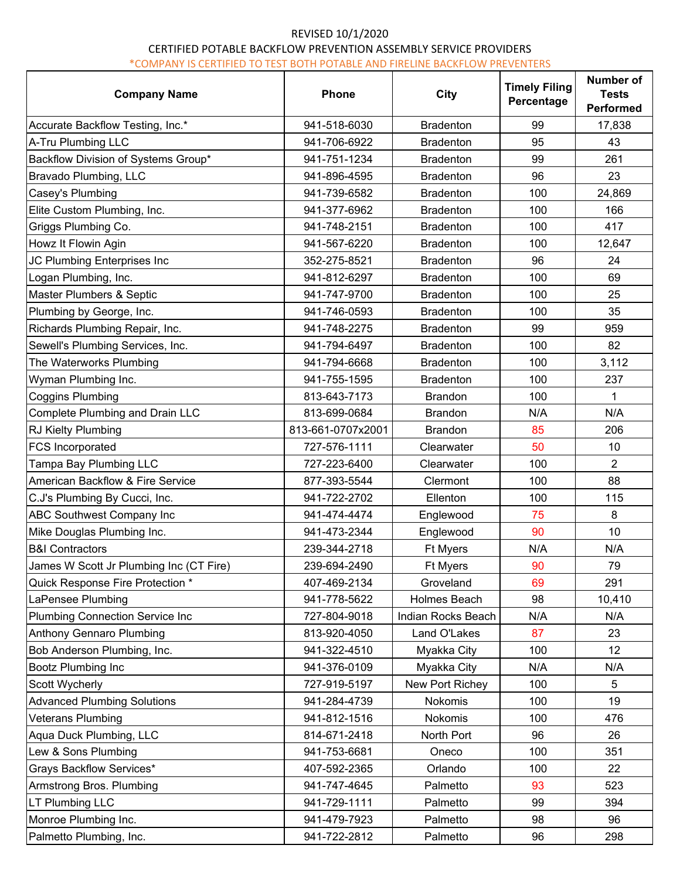## REVISED 10/1/2020 CERTIFIED POTABLE BACKFLOW PREVENTION ASSEMBLY SERVICE PROVIDERS \*COMPANY IS CERTIFIED TO TEST BOTH POTABLE AND FIRELINE BACKFLOW PREVENTERS

| <b>Company Name</b>                     | Phone             | City               | <b>Timely Filing</b><br>Percentage | <b>Number of</b><br><b>Tests</b><br><b>Performed</b> |
|-----------------------------------------|-------------------|--------------------|------------------------------------|------------------------------------------------------|
| Accurate Backflow Testing, Inc.*        | 941-518-6030      | <b>Bradenton</b>   | 99                                 | 17,838                                               |
| A-Tru Plumbing LLC                      | 941-706-6922      | <b>Bradenton</b>   | 95                                 | 43                                                   |
| Backflow Division of Systems Group*     | 941-751-1234      | <b>Bradenton</b>   | 99                                 | 261                                                  |
| Bravado Plumbing, LLC                   | 941-896-4595      | <b>Bradenton</b>   | 96                                 | 23                                                   |
| Casey's Plumbing                        | 941-739-6582      | <b>Bradenton</b>   | 100                                | 24,869                                               |
| Elite Custom Plumbing, Inc.             | 941-377-6962      | <b>Bradenton</b>   | 100                                | 166                                                  |
| Griggs Plumbing Co.                     | 941-748-2151      | <b>Bradenton</b>   | 100                                | 417                                                  |
| Howz It Flowin Agin                     | 941-567-6220      | <b>Bradenton</b>   | 100                                | 12,647                                               |
| JC Plumbing Enterprises Inc             | 352-275-8521      | <b>Bradenton</b>   | 96                                 | 24                                                   |
| Logan Plumbing, Inc.                    | 941-812-6297      | <b>Bradenton</b>   | 100                                | 69                                                   |
| Master Plumbers & Septic                | 941-747-9700      | <b>Bradenton</b>   | 100                                | 25                                                   |
| Plumbing by George, Inc.                | 941-746-0593      | <b>Bradenton</b>   | 100                                | 35                                                   |
| Richards Plumbing Repair, Inc.          | 941-748-2275      | <b>Bradenton</b>   | 99                                 | 959                                                  |
| Sewell's Plumbing Services, Inc.        | 941-794-6497      | <b>Bradenton</b>   | 100                                | 82                                                   |
| The Waterworks Plumbing                 | 941-794-6668      | <b>Bradenton</b>   | 100                                | 3,112                                                |
| Wyman Plumbing Inc.                     | 941-755-1595      | <b>Bradenton</b>   | 100                                | 237                                                  |
| <b>Coggins Plumbing</b>                 | 813-643-7173      | <b>Brandon</b>     | 100                                | 1                                                    |
| Complete Plumbing and Drain LLC         | 813-699-0684      | <b>Brandon</b>     | N/A                                | N/A                                                  |
| RJ Kielty Plumbing                      | 813-661-0707x2001 | <b>Brandon</b>     | 85                                 | 206                                                  |
| <b>FCS Incorporated</b>                 | 727-576-1111      | Clearwater         | 50                                 | 10                                                   |
| Tampa Bay Plumbing LLC                  | 727-223-6400      | Clearwater         | 100                                | $\overline{2}$                                       |
| American Backflow & Fire Service        | 877-393-5544      | Clermont           | 100                                | 88                                                   |
| C.J's Plumbing By Cucci, Inc.           | 941-722-2702      | Ellenton           | 100                                | 115                                                  |
| <b>ABC Southwest Company Inc</b>        | 941-474-4474      | Englewood          | 75                                 | 8                                                    |
| Mike Douglas Plumbing Inc.              | 941-473-2344      | Englewood          | 90                                 | 10                                                   |
| <b>B&amp;I Contractors</b>              | 239-344-2718      | <b>Ft Myers</b>    | N/A                                | N/A                                                  |
| James W Scott Jr Plumbing Inc (CT Fire) | 239-694-2490      | <b>Ft Myers</b>    | 90                                 | 79                                                   |
| Quick Response Fire Protection *        | 407-469-2134      | Groveland          | 69                                 | 291                                                  |
| LaPensee Plumbing                       | 941-778-5622      | Holmes Beach       | 98                                 | 10,410                                               |
| <b>Plumbing Connection Service Inc</b>  | 727-804-9018      | Indian Rocks Beach | N/A                                | N/A                                                  |
| <b>Anthony Gennaro Plumbing</b>         | 813-920-4050      | Land O'Lakes       | 87                                 | 23                                                   |
| Bob Anderson Plumbing, Inc.             | 941-322-4510      | Myakka City        | 100                                | 12                                                   |
| Bootz Plumbing Inc                      | 941-376-0109      | Myakka City        | N/A                                | N/A                                                  |
| Scott Wycherly                          | 727-919-5197      | New Port Richey    | 100                                | 5                                                    |
| <b>Advanced Plumbing Solutions</b>      | 941-284-4739      | Nokomis            | 100                                | 19                                                   |
| <b>Veterans Plumbing</b>                | 941-812-1516      | Nokomis            | 100                                | 476                                                  |
| Aqua Duck Plumbing, LLC                 | 814-671-2418      | North Port         | 96                                 | 26                                                   |
| Lew & Sons Plumbing                     | 941-753-6681      | Oneco              | 100                                | 351                                                  |
| Grays Backflow Services*                | 407-592-2365      | Orlando            | 100                                | 22                                                   |
| Armstrong Bros. Plumbing                | 941-747-4645      | Palmetto           | 93                                 | 523                                                  |
| LT Plumbing LLC                         | 941-729-1111      | Palmetto           | 99                                 | 394                                                  |
| Monroe Plumbing Inc.                    | 941-479-7923      | Palmetto           | 98                                 | 96                                                   |
| Palmetto Plumbing, Inc.                 | 941-722-2812      | Palmetto           | 96                                 | 298                                                  |